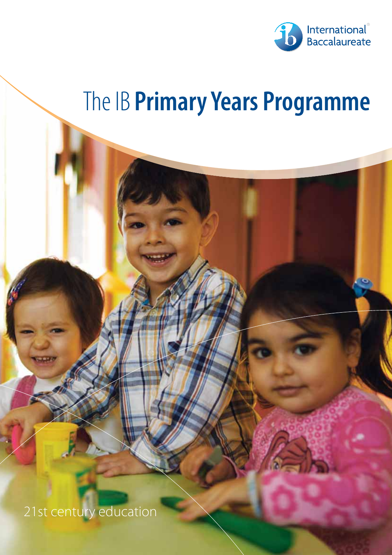

# The IB **Primary Years Programme**

21st century education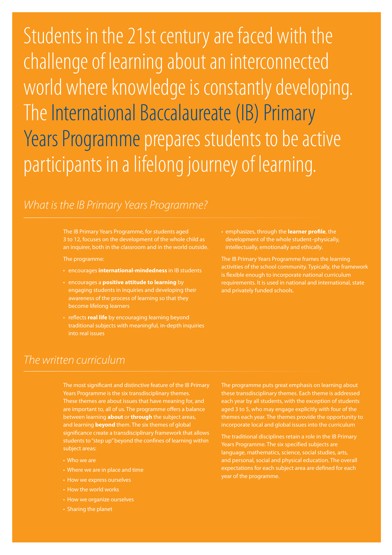Students in the 21st century are faced with the challenge of learning about an interconnected world where knowledge is constantly developing. The International Baccalaureate (IB) Primary Years Programme prepares students to be active participants in a lifelong journey of learning.

#### What is the IB Primary Years Programme?

The IB Primary Years Programme, for students aged 3 to 12, focuses on the development of the whole child as an inquirer, both in the classroom and in the world outside.

The programme:

- encourages **international-mindedness** in IB students
- encourages a **positive attitude to learning** by engaging students in inquiries and developing their awareness of the process of learning so that they become lifelong learners
- reflects **real life** by encouraging learning beyond traditional subjects with meaningful, in-depth inquiries into real issues

• emphasizes, through the **learner profile**, the development of the whole student–physically, intellectually, emotionally and ethically.

The IB Primary Years Programme frames the learning activities of the school community. Typically, the framework is flexible enough to incorporate national curriculum requirements. It is used in national and international, state and privately funded schools.

## The written curriculum

The most significant and distinctive feature of the IB Primary Years Programme is the six transdisciplinary themes. These themes are about issues that have meaning for, and are important to, all of us. The programme offers a balance between learning **about** or **through** the subject areas, and learning **beyond** them. The six themes of global significance create a transdisciplinary framework that allows students to "step up" beyond the confines of learning within subject areas:

- Who we are
- Where we are in place and time
- How we express ourselves
- How the world works
- How we organize ourselves
- Sharing the planet

The programme puts great emphasis on learning about these transdisciplinary themes. Each theme is addressed each year by all students, with the exception of students aged 3 to 5, who may engage explicitly with four of the themes each year. The themes provide the opportunity to incorporate local and global issues into the curriculum

The traditional disciplines retain a role in the IB Primary Years Programme. The six specified subjects are language, mathematics, science, social studies, arts, and personal, social and physical education. The overall expectations for each subject area are defined for each year of the programme.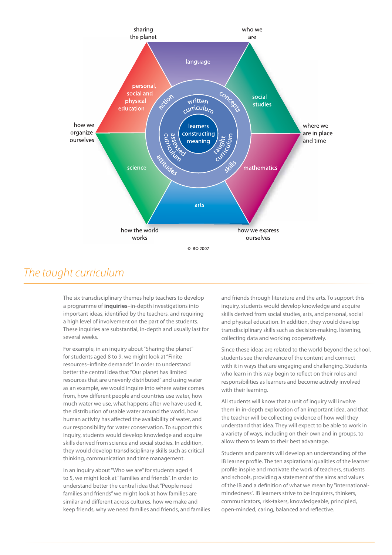

### The taught curriculum

The six transdisciplinary themes help teachers to develop a programme of **inquiries**–in-depth investigations into important ideas, identified by the teachers, and requiring a high level of involvement on the part of the students. These inquiries are substantial, in-depth and usually last for several weeks.

For example, in an inquiry about "Sharing the planet" for students aged 8 to 9, we might look at "Finite resources-infinite demands". In order to understand better the central idea that "Our planet has limited resources that are unevenly distributed" and using water as an example, we would inquire into where water comes from, how different people and countries use water, how much water we use, what happens after we have used it, the distribution of usable water around the world, how human activity has affected the availability of water, and our responsibility for water conservation. To support this inquiry, students would develop knowledge and acquire skills derived from science and social studies. In addition, they would develop transdisciplinary skills such as critical thinking, communication and time management.

In an inquiry about "Who we are" for students aged 4 to 5, we might look at "Families and friends". In order to understand better the central idea that "People need families and friends" we might look at how families are similar and different across cultures, how we make and keep friends, why we need families and friends, and families and friends through literature and the arts. To support this inquiry, students would develop knowledge and acquire skills derived from social studies, arts, and personal, social and physical education. In addition, they would develop transdisciplinary skills such as decision-making, listening, collecting data and working cooperatively.

Since these ideas are related to the world beyond the school, students see the relevance of the content and connect with it in ways that are engaging and challenging. Students who learn in this way begin to reflect on their roles and responsibilities as learners and become actively involved with their learning.

All students will know that a unit of inquiry will involve them in in-depth exploration of an important idea, and that the teacher will be collecting evidence of how well they understand that idea. They will expect to be able to work in a variety of ways, including on their own and in groups, to allow them to learn to their best advantage.

Students and parents will develop an understanding of the IB learner profile. The ten aspirational qualities of the learner profile inspire and motivate the work of teachers, students and schools, providing a statement of the aims and values of the IB and a definition of what we mean by "internationalmindedness". IB learners strive to be inquirers, thinkers, communicators, risk-takers, knowledgeable, principled, open-minded, caring, balanced and reflective.